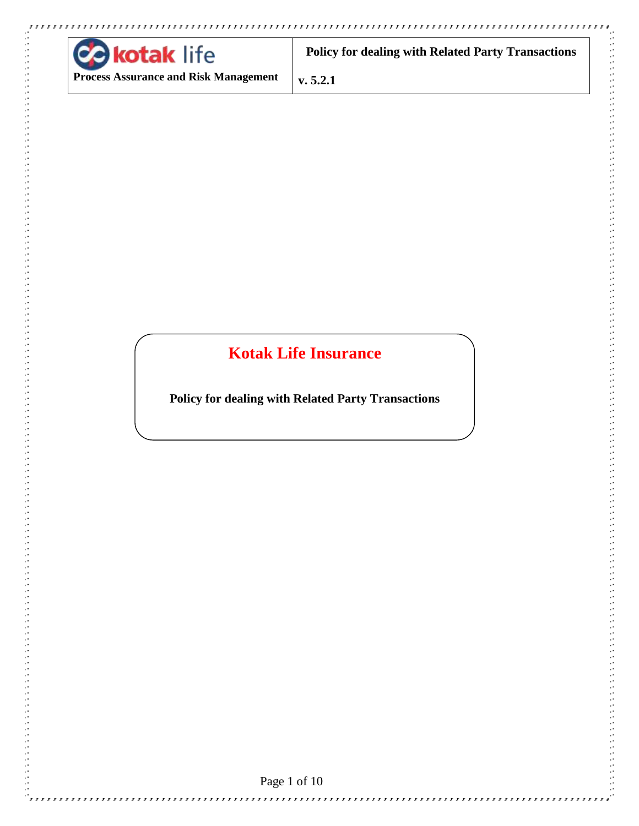

**COLLANS** 

**Policy for dealing with Related Party Transactions**

**Process Assurance and Risk Management**

**v. 5.2.1**

# **Kotak Life Insurance**

**Policy for dealing with Related Party Transactions**

Page 1 of 10

,,,,,,,,,,,,,,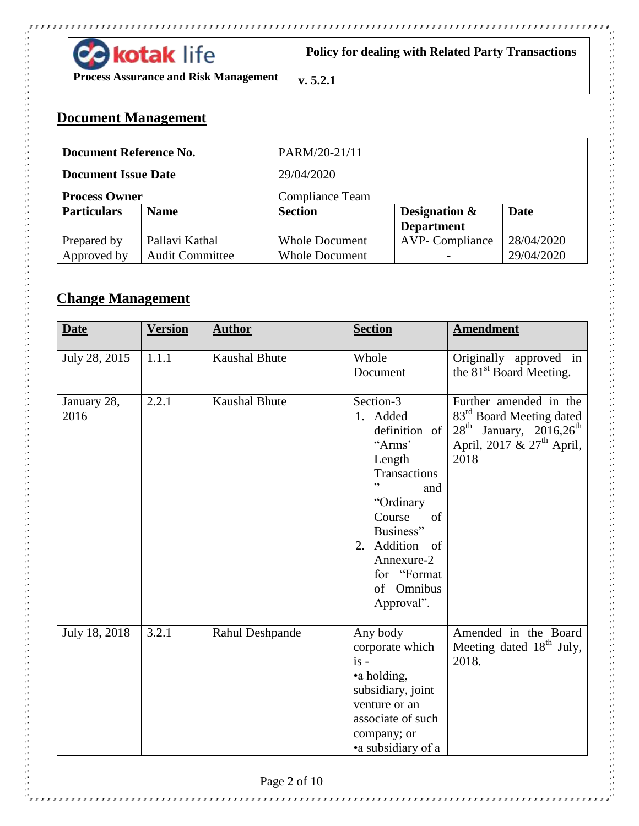

**Policy for dealing with Related Party Transactions**

**Process Assurance and Risk Management**

**v. 5.2.1**

## **Document Management**

| Document Reference No.     |                        | PARM/20-21/11          |                       |            |  |
|----------------------------|------------------------|------------------------|-----------------------|------------|--|
| <b>Document Issue Date</b> |                        | 29/04/2020             |                       |            |  |
| <b>Process Owner</b>       |                        | <b>Compliance Team</b> |                       |            |  |
| <b>Particulars</b>         | <b>Name</b>            | <b>Section</b>         | Designation $\&$      | Date       |  |
|                            |                        |                        | <b>Department</b>     |            |  |
| Prepared by                | Pallavi Kathal         | <b>Whole Document</b>  | <b>AVP-Compliance</b> | 28/04/2020 |  |
| Approved by                | <b>Audit Committee</b> | <b>Whole Document</b>  |                       | 29/04/2020 |  |

## **Change Management**

| <b>Date</b>         | <b>Version</b> | <b>Author</b>        | <b>Section</b>                                                                                                                                                                                                   | <b>Amendment</b>                                                                                                                           |
|---------------------|----------------|----------------------|------------------------------------------------------------------------------------------------------------------------------------------------------------------------------------------------------------------|--------------------------------------------------------------------------------------------------------------------------------------------|
| July 28, 2015       | 1.1.1          | <b>Kaushal Bhute</b> | Whole<br>Document                                                                                                                                                                                                | Originally approved in<br>the 81 <sup>st</sup> Board Meeting.                                                                              |
| January 28,<br>2016 | 2.2.1          | <b>Kaushal Bhute</b> | Section-3<br>1. Added<br>definition of<br>"Arms"<br>Length<br>Transactions<br>, 2<br>and<br>"Ordinary<br>Course<br>of<br>Business"<br>Addition of<br>2.<br>Annexure-2<br>for "Format<br>of Omnibus<br>Approval". | Further amended in the<br>83 <sup>rd</sup> Board Meeting dated<br>$28^{th}$ January, $2016,26^{th}$<br>April, 2017 & $27th$ April,<br>2018 |
| July 18, 2018       | 3.2.1          | Rahul Deshpande      | Any body<br>corporate which<br>$is -$<br>•a holding,<br>subsidiary, joint<br>venture or an<br>associate of such<br>company; or<br>• a subsidiary of a                                                            | Amended in the Board<br>Meeting dated 18 <sup>th</sup> July,<br>2018.                                                                      |

 $\mathbf{r}$ 

,,,,,,,,,,,,,,,,,,,,,,,,,,,,,

 $\frac{1}{2}$ rrrr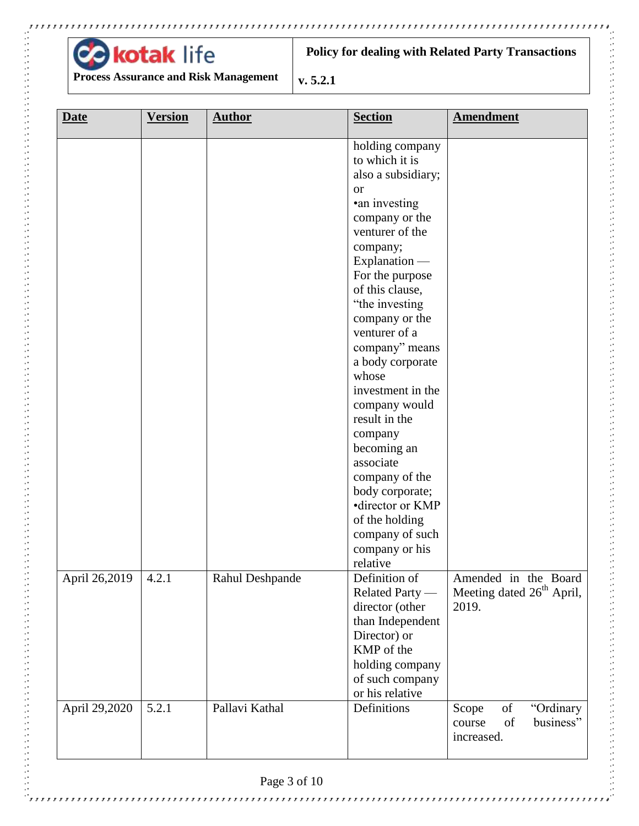

<sup>5</sup>rrrrrrr

,,,,,,,,,,,,,,,,,,,,,,,,,,,,,,,,

**Policy for dealing with Related Party Transactions**

**Process Assurance and Risk Management**

**v. 5.2.1**

| <b>Date</b>   | <b>Version</b> | <b>Author</b>   | <b>Section</b>                                                                                                                                                                                                                                                                                                                                                                                                                                                                                                              | <b>Amendment</b>                                                       |
|---------------|----------------|-----------------|-----------------------------------------------------------------------------------------------------------------------------------------------------------------------------------------------------------------------------------------------------------------------------------------------------------------------------------------------------------------------------------------------------------------------------------------------------------------------------------------------------------------------------|------------------------------------------------------------------------|
|               |                |                 | holding company<br>to which it is<br>also a subsidiary;<br><b>or</b><br>•an investing<br>company or the<br>venturer of the<br>company;<br>Explanation —<br>For the purpose<br>of this clause,<br>"the investing<br>company or the<br>venturer of a<br>company" means<br>a body corporate<br>whose<br>investment in the<br>company would<br>result in the<br>company<br>becoming an<br>associate<br>company of the<br>body corporate;<br>•director or KMP<br>of the holding<br>company of such<br>company or his<br>relative |                                                                        |
| April 26,2019 | 4.2.1          | Rahul Deshpande | Definition of<br>Related Party —<br>director (other<br>than Independent<br>Director) or<br>KMP of the<br>holding company<br>of such company<br>or his relative                                                                                                                                                                                                                                                                                                                                                              | Amended in the Board<br>Meeting dated 26 <sup>th</sup> April,<br>2019. |
| April 29,2020 | 5.2.1          | Pallavi Kathal  | Definitions                                                                                                                                                                                                                                                                                                                                                                                                                                                                                                                 | "Ordinary<br>Scope<br>of<br>of<br>business"<br>course<br>increased.    |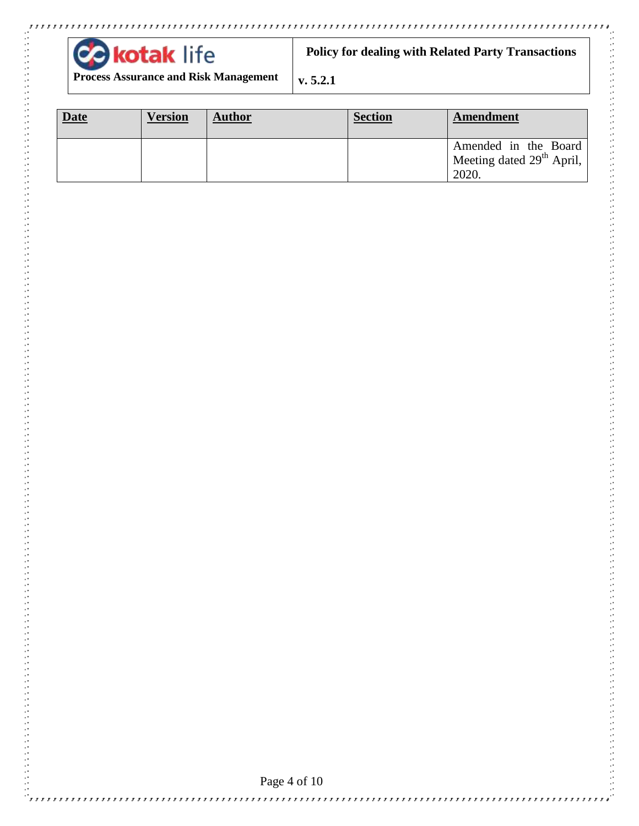

 $\mathcal{C}$  , , , , , , , , , , , , ,

**Policy for dealing with Related Party Transactions**

**Process Assurance and Risk Management**

**v. 5.2.1**

| <b>Date</b> | <b>Version</b> | <b>Author</b> | <b>Section</b> | Amendment                                                   |
|-------------|----------------|---------------|----------------|-------------------------------------------------------------|
|             |                |               |                | Amended in the Board<br>Meeting dated $29th$ April,<br>2020 |

,,,,,,,,,,,,,,,,,,,,,,,,,,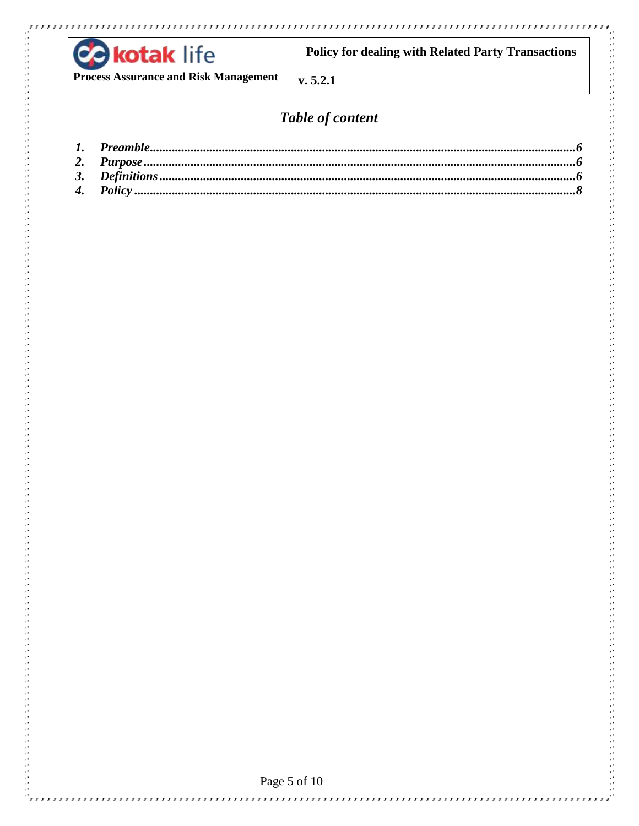

**COLLANS** 

**Policy for dealing with Related Party Transactions** 

**Process Assurance and Risk Management** 

 $v. 5.2.1$ 

# Table of content

,,,,,,,,,,,,,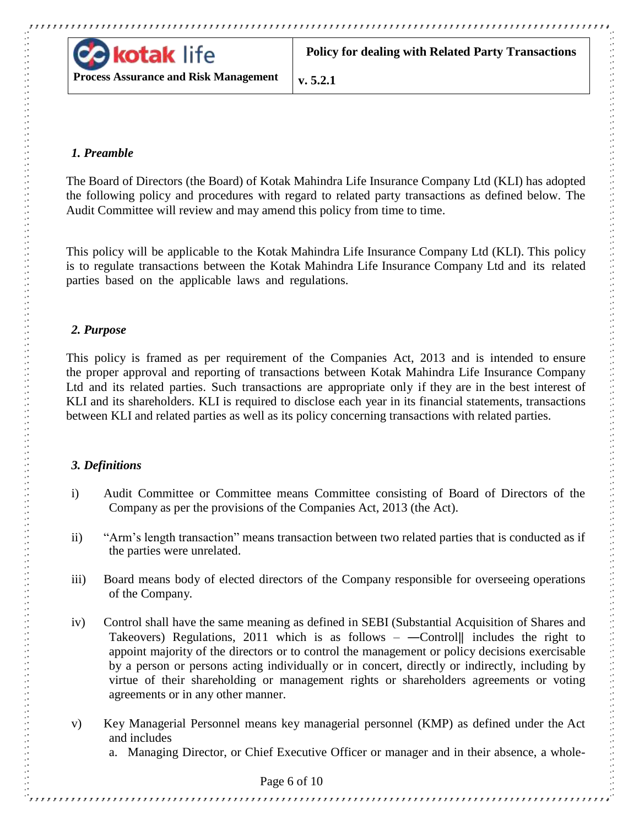

**Process Assurance and Risk Management**

## <span id="page-5-0"></span>*1. Preamble*

The Board of Directors (the Board) of Kotak Mahindra Life Insurance Company Ltd (KLI) has adopted the following policy and procedures with regard to related party transactions as defined below. The Audit Committee will review and may amend this policy from time to time.

This policy will be applicable to the Kotak Mahindra Life Insurance Company Ltd (KLI). This policy is to regulate transactions between the Kotak Mahindra Life Insurance Company Ltd and its related parties based on the applicable laws and regulations.

## <span id="page-5-1"></span>*2. Purpose*

This policy is framed as per requirement of the Companies Act, 2013 and is intended to ensure the proper approval and reporting of transactions between Kotak Mahindra Life Insurance Company Ltd and its related parties. Such transactions are appropriate only if they are in the best interest of KLI and its shareholders. KLI is required to disclose each year in its financial statements, transactions between KLI and related parties as well as its policy concerning transactions with related parties.

## <span id="page-5-2"></span>*3. Definitions*

- i) Audit Committee or Committee means Committee consisting of Board of Directors of the Company as per the provisions of the Companies Act, 2013 (the Act).
- ii) "Arm's length transaction" means transaction between two related parties that is conducted as if the parties were unrelated.
- iii) Board means body of elected directors of the Company responsible for overseeing operations of the Company.
- iv) Control shall have the same meaning as defined in SEBI (Substantial Acquisition of Shares and Takeovers) Regulations, 2011 which is as follows  $-$  -Controll includes the right to appoint majority of the directors or to control the management or policy decisions exercisable by a person or persons acting individually or in concert, directly or indirectly, including by virtue of their shareholding or management rights or shareholders agreements or voting agreements or in any other manner.
- v) Key Managerial Personnel means key managerial personnel (KMP) as defined under the Act and includes
	- a. Managing Director, or Chief Executive Officer or manager and in their absence, a whole-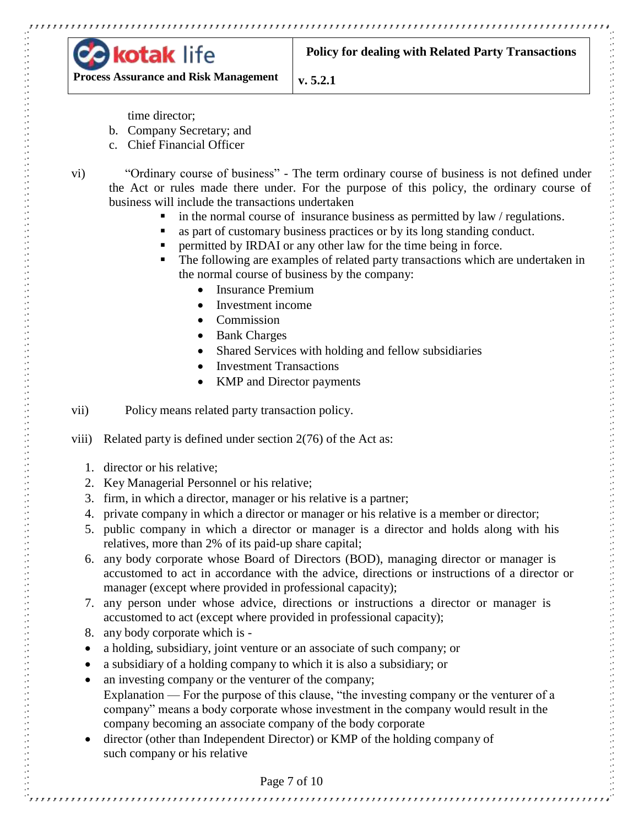

**Policy for dealing with Related Party Transactions**

**Process Assurance and Risk Management**

**v. 5.2.1**

time director;

- b. Company Secretary; and
- c. Chief Financial Officer
- 

- vi) "Ordinary course of business" The term ordinary course of business is not defined under the Act or rules made there under. For the purpose of this policy, the ordinary course of business will include the transactions undertaken
	- in the normal course of insurance business as permitted by law / regulations.
	- as part of customary business practices or by its long standing conduct.
	- permitted by IRDAI or any other law for the time being in force.
	- The following are examples of related party transactions which are undertaken in the normal course of business by the company:
		- Insurance Premium
		- Investment income
		- Commission
		- Bank Charges
		- Shared Services with holding and fellow subsidiaries
		- Investment Transactions
		- KMP and Director payments

vii) Policy means related party transaction policy.

viii) Related party is defined under section 2(76) of the Act as:

- 1. director or his relative;
- 2. Key Managerial Personnel or his relative;
- 3. firm, in which a director, manager or his relative is a partner;
- 4. private company in which a director or manager or his relative is a member or director;
- 5. public company in which a director or manager is a director and holds along with his relatives, more than 2% of its paid-up share capital;
- 6. any body corporate whose Board of Directors (BOD), managing director or manager is accustomed to act in accordance with the advice, directions or instructions of a director or manager (except where provided in professional capacity);
- 7. any person under whose advice, directions or instructions a director or manager is accustomed to act (except where provided in professional capacity);
- 8. any body corporate which is -
- a holding, subsidiary, joint venture or an associate of such company; or
- a subsidiary of a holding company to which it is also a subsidiary; or
- an investing company or the venturer of the company; Explanation — For the purpose of this clause, "the investing company or the venturer of a company" means a body corporate whose investment in the company would result in the company becoming an associate company of the body corporate
- director (other than Independent Director) or KMP of the holding company of such company or his relative

#### Page 7 of 10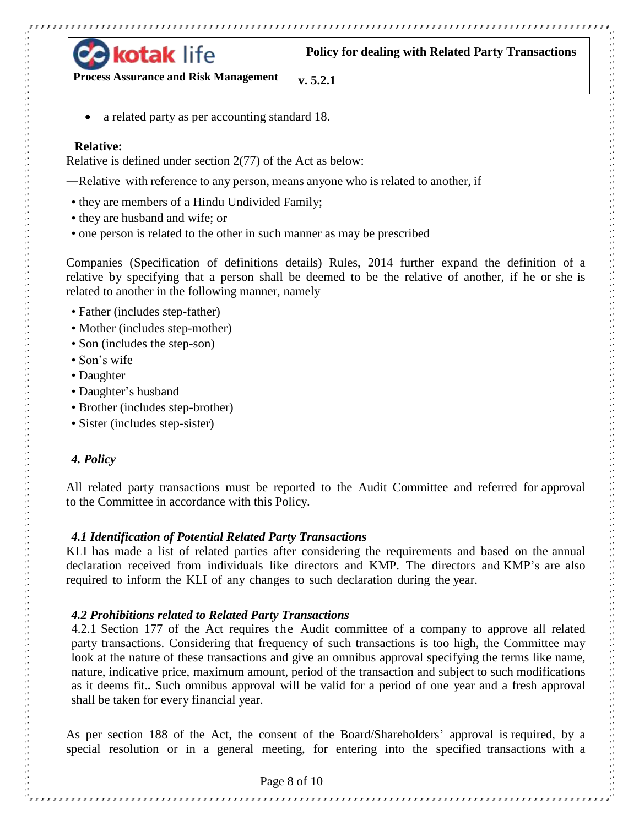

**Process Assurance and Risk Management**

a related party as per accounting standard 18.

#### **Relative:**

Relative is defined under section 2(77) of the Act as below:

―Relative with reference to any person, means anyone who is related to another, if—

- they are members of a Hindu Undivided Family;
- they are husband and wife; or
- one person is related to the other in such manner as may be prescribed

Companies (Specification of definitions details) Rules, 2014 further expand the definition of a relative by specifying that a person shall be deemed to be the relative of another, if he or she is related to another in the following manner, namely –

- Father (includes step-father)
- Mother (includes step-mother)
- Son (includes the step-son)
- Son's wife
- Daughter
- Daughter's husband
- Brother (includes step-brother)
- Sister (includes step-sister)

#### <span id="page-7-0"></span>*4. Policy*

All related party transactions must be reported to the Audit Committee and referred for approval to the Committee in accordance with this Policy.

#### *4.1 Identification of Potential Related Party Transactions*

KLI has made a list of related parties after considering the requirements and based on the annual declaration received from individuals like directors and KMP. The directors and KMP's are also required to inform the KLI of any changes to such declaration during the year.

#### *4.2 Prohibitions related to Related Party Transactions*

4.2.1 Section 177 of the Act requires the Audit committee of a company to approve all related party transactions. Considering that frequency of such transactions is too high, the Committee may look at the nature of these transactions and give an omnibus approval specifying the terms like name, nature, indicative price, maximum amount, period of the transaction and subject to such modifications as it deems fit.**.** Such omnibus approval will be valid for a period of one year and a fresh approval shall be taken for every financial year.

As per section 188 of the Act, the consent of the Board/Shareholders' approval is required, by a special resolution or in a general meeting, for entering into the specified transactions with a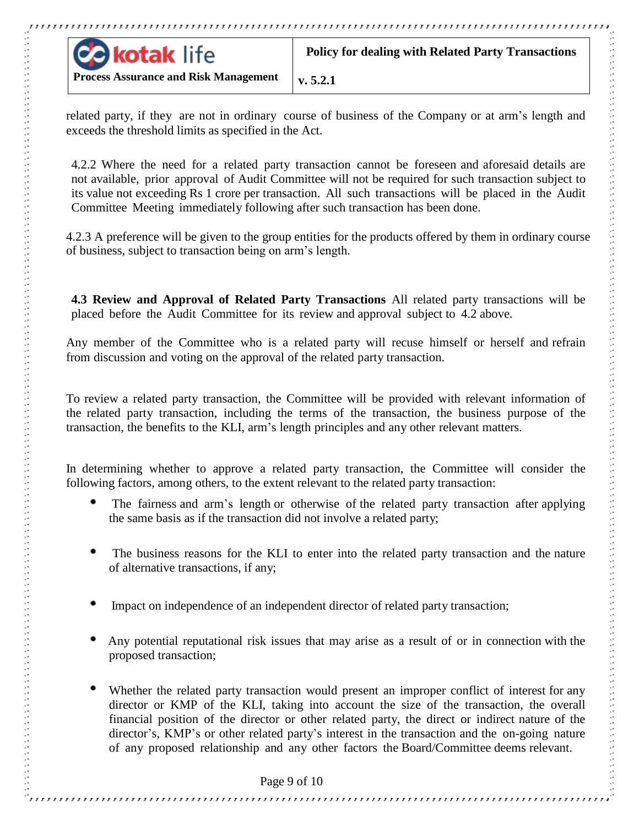

**Process Assurance and Risk Management**

related party, if they are not in ordinary course of business of the Company or at arm's length and exceeds the threshold limits as specified in the Act.

4.2.2 Where the need for a related party transaction cannot be foreseen and aforesaid details are not available, prior approval of Audit Committee will not be required for such transaction subject to its value not exceeding Rs 1 crore per transaction. All such transactions will be placed in the Audit Committee Meeting immediately following after such transaction has been done.

4.2.3 A preference will be given to the group entities for the products offered by them in ordinary course of business, subject to transaction being on arm's length.

**4.3 Review and Approval of Related Party Transactions** All related party transactions will be placed before the Audit Committee for its review and approval subject to 4.2 above.

Any member of the Committee who is a related party will recuse himself or herself and refrain from discussion and voting on the approval of the related party transaction.

To review a related party transaction, the Committee will be provided with relevant information of the related party transaction, including the terms of the transaction, the business purpose of the transaction, the benefits to the KLI, arm's length principles and any other relevant matters.

In determining whether to approve a related party transaction, the Committee will consider the following factors, among others, to the extent relevant to the related party transaction:

- The fairness and arm's length or otherwise of the related party transaction after applying the same basis as if the transaction did not involve a related party;
- The business reasons for the KLI to enter into the related party transaction and the nature of alternative transactions, if any;
- Impact on independence of an independent director of related party transaction;
- Any potential reputational risk issues that may arise as a result of or in connection with the proposed transaction;
- Whether the related party transaction would present an improper conflict of interest for any director or KMP of the KLI, taking into account the size of the transaction, the overall financial position of the director or other related party, the direct or indirect nature of the director's, KMP's or other related party's interest in the transaction and the on-going nature of any proposed relationship and any other factors the Board/Committee deems relevant.

Page 9 of 10

,,,,,,,,,,,